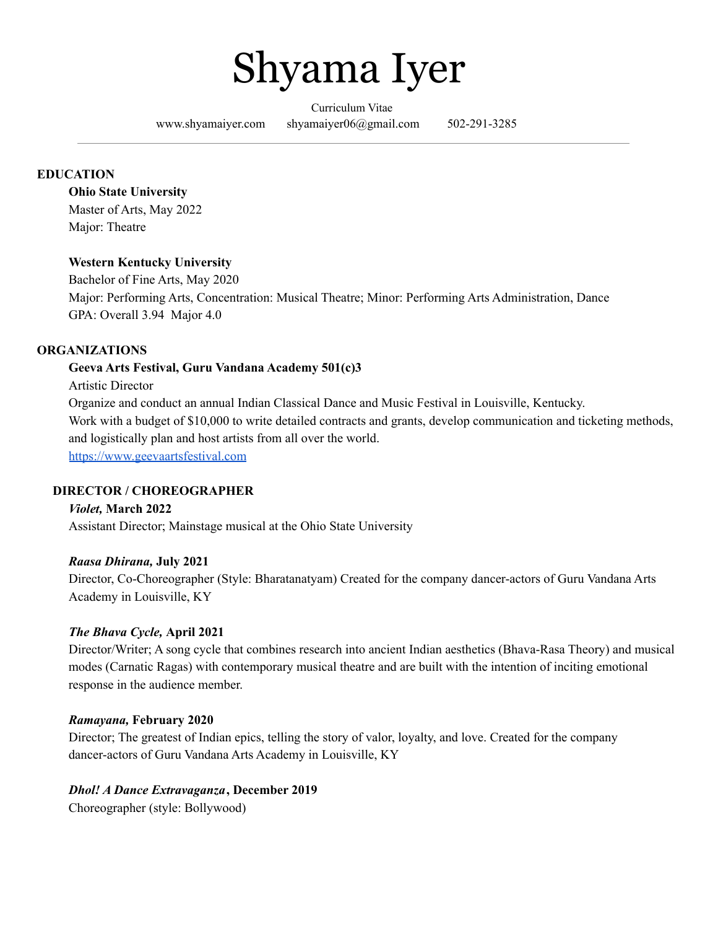

Curriculum Vitae

[www.shyamaiyer.com](http://www.shyamaiyer.com/) shyamaiyer06@gmail.com 502-291-3285

## **EDUCATION**

#### **Ohio State University**

Master of Arts, May 2022 Major: Theatre

### **Western Kentucky University**

Bachelor of Fine Arts, May 2020 Major: Performing Arts, Concentration: Musical Theatre; Minor: Performing Arts Administration, Dance GPA: Overall 3.94 Major 4.0

#### **ORGANIZATIONS**

### **Geeva Arts Festival, Guru Vandana Academy 501(c)3**

Artistic Director

Organize and conduct an annual Indian Classical Dance and Music Festival in Louisville, Kentucky. Work with a budget of \$10,000 to write detailed contracts and grants, develop communication and ticketing methods, and logistically plan and host artists from all over the world. <https://www.geevaartsfestival.com>

#### **DIRECTOR / CHOREOGRAPHER**

#### *Violet,* **March 2022**

Assistant Director; Mainstage musical at the Ohio State University

#### *Raasa Dhirana,* **July 2021**

Director, Co-Choreographer (Style: Bharatanatyam) Created for the company dancer-actors of Guru Vandana Arts Academy in Louisville, KY

#### *The Bhava Cycle,* **April 2021**

Director/Writer; A song cycle that combines research into ancient Indian aesthetics (Bhava-Rasa Theory) and musical modes (Carnatic Ragas) with contemporary musical theatre and are built with the intention of inciting emotional response in the audience member.

#### *Ramayana,* **February 2020**

Director; The greatest of Indian epics, telling the story of valor, loyalty, and love. Created for the company dancer-actors of Guru Vandana Arts Academy in Louisville, KY

## *Dhol! A Dance Extravaganza***, December 2019**

Choreographer (style: Bollywood)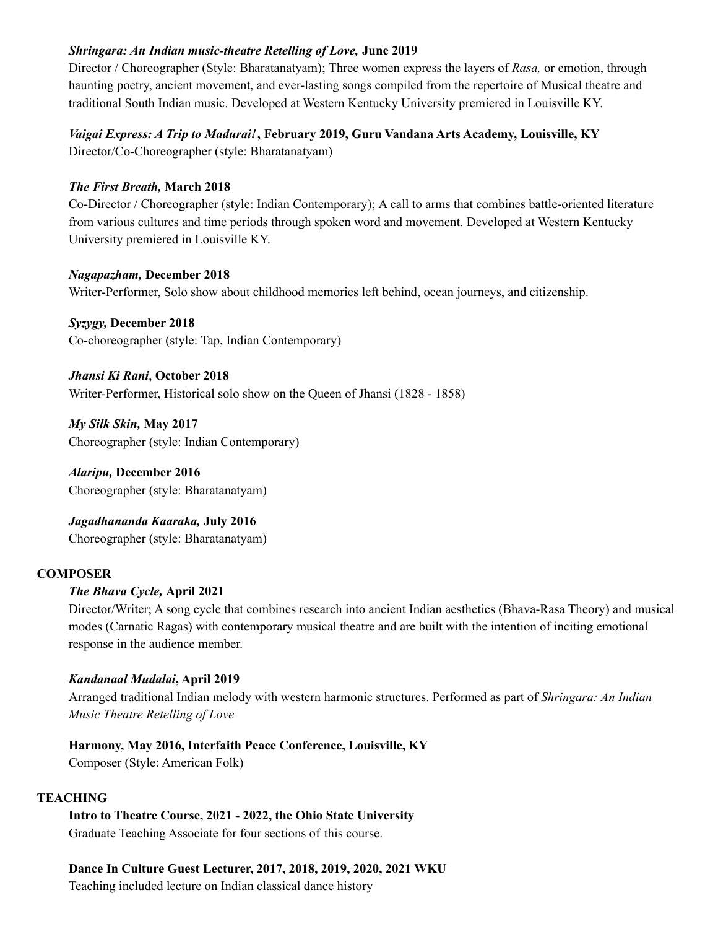### *Shringara: An Indian music-theatre Retelling of Love,* **June 2019**

Director / Choreographer (Style: Bharatanatyam); Three women express the layers of *Rasa,* or emotion, through haunting poetry, ancient movement, and ever-lasting songs compiled from the repertoire of Musical theatre and traditional South Indian music. Developed at Western Kentucky University premiered in Louisville KY.

## *Vaigai Express: A Trip to Madurai!***, February 2019, Guru Vandana Arts Academy, Louisville, KY**

Director/Co-Choreographer (style: Bharatanatyam)

## *The First Breath,* **March 2018**

Co-Director / Choreographer (style: Indian Contemporary); A call to arms that combines battle-oriented literature from various cultures and time periods through spoken word and movement. Developed at Western Kentucky University premiered in Louisville KY.

## *Nagapazham,* **December 2018**

Writer-Performer, Solo show about childhood memories left behind, ocean journeys, and citizenship.

*Syzygy,* **December 2018** Co-choreographer (style: Tap, Indian Contemporary)

*Jhansi Ki Rani*, **October 2018** Writer-Performer, Historical solo show on the Queen of Jhansi (1828 - 1858)

*My Silk Skin,* **May 2017** Choreographer (style: Indian Contemporary)

*Alaripu,* **December 2016** Choreographer (style: Bharatanatyam)

*Jagadhananda Kaaraka,* **July 2016** Choreographer (style: Bharatanatyam)

## **COMPOSER**

## *The Bhava Cycle,* **April 2021**

Director/Writer; A song cycle that combines research into ancient Indian aesthetics (Bhava-Rasa Theory) and musical modes (Carnatic Ragas) with contemporary musical theatre and are built with the intention of inciting emotional response in the audience member.

## *Kandanaal Mudalai***, April 2019**

Arranged traditional Indian melody with western harmonic structures. Performed as part of *Shringara: An Indian Music Theatre Retelling of Love*

# **Harmony, May 2016, Interfaith Peace Conference, Louisville, KY**

Composer (Style: American Folk)

## **TEACHING**

**Intro to Theatre Course, 2021 - 2022, the Ohio State University** Graduate Teaching Associate for four sections of this course.

# **Dance In Culture Guest Lecturer, 2017, 2018, 2019, 2020, 2021 WKU**

Teaching included lecture on Indian classical dance history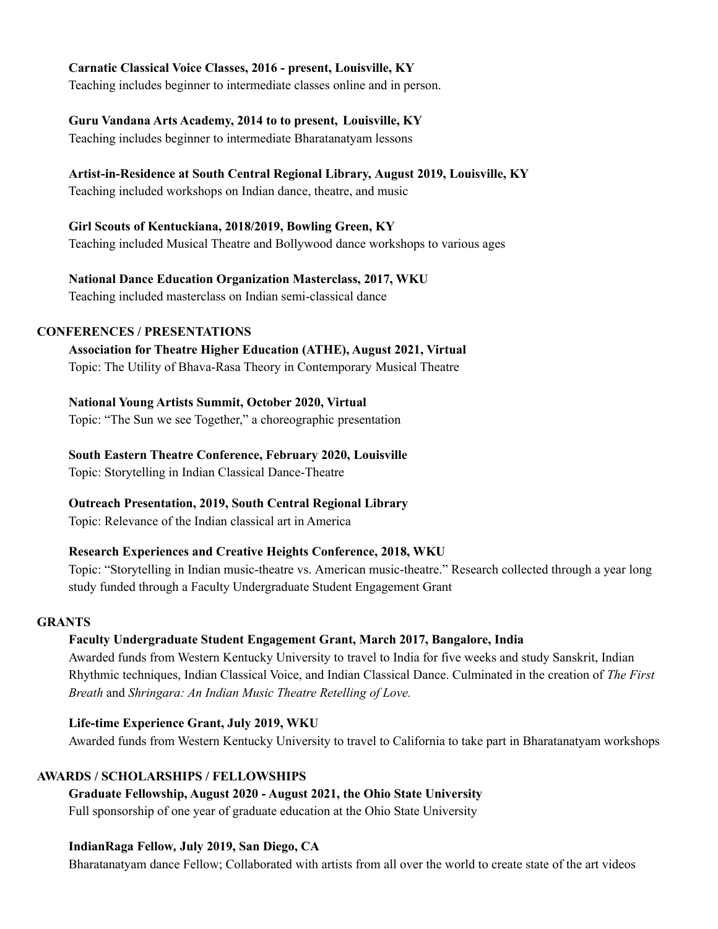### **Carnatic Classical Voice Classes, 2016 - present, Louisville, KY**

Teaching includes beginner to intermediate classes online and in person.

#### **Guru Vandana Arts Academy, 2014 to to present, Louisville, KY**

Teaching includes beginner to intermediate Bharatanatyam lessons

### **Artist-in-Residence at South Central Regional Library, August 2019, Louisville, KY**

Teaching included workshops on Indian dance, theatre, and music

### **Girl Scouts of Kentuckiana, 2018/2019, Bowling Green, KY**

Teaching included Musical Theatre and Bollywood dance workshops to various ages

### **National Dance Education Organization Masterclass, 2017, WKU**

Teaching included masterclass on Indian semi-classical dance

### **CONFERENCES / PRESENTATIONS**

## **Association for Theatre Higher Education (ATHE), August 2021, Virtual**

Topic: The Utility of Bhava-Rasa Theory in Contemporary Musical Theatre

#### **National Young Artists Summit, October 2020, Virtual**

Topic: "The Sun we see Together," a choreographic presentation

# **South Eastern Theatre Conference, February 2020, Louisville**

Topic: Storytelling in Indian Classical Dance-Theatre

## **Outreach Presentation, 2019, South Central Regional Library**

Topic: Relevance of the Indian classical art in America

## **Research Experiences and Creative Heights Conference, 2018, WKU**

Topic: "Storytelling in Indian music-theatre vs. American music-theatre." Research collected through a year long study funded through a Faculty Undergraduate Student Engagement Grant

#### **GRANTS**

## **Faculty Undergraduate Student Engagement Grant, March 2017, Bangalore, India**

Awarded funds from Western Kentucky University to travel to India for five weeks and study Sanskrit, Indian Rhythmic techniques, Indian Classical Voice, and Indian Classical Dance. Culminated in the creation of *The First Breath* and *Shringara: An Indian Music Theatre Retelling of Love.*

#### **Life-time Experience Grant, July 2019, WKU**

Awarded funds from Western Kentucky University to travel to California to take part in Bharatanatyam workshops

## **AWARDS / SCHOLARSHIPS / FELLOWSHIPS**

#### **Graduate Fellowship, August 2020 - August 2021, the Ohio State University**

Full sponsorship of one year of graduate education at the Ohio State University

### **IndianRaga Fellow***,* **July 2019, San Diego, CA**

Bharatanatyam dance Fellow; Collaborated with artists from all over the world to create state of the art videos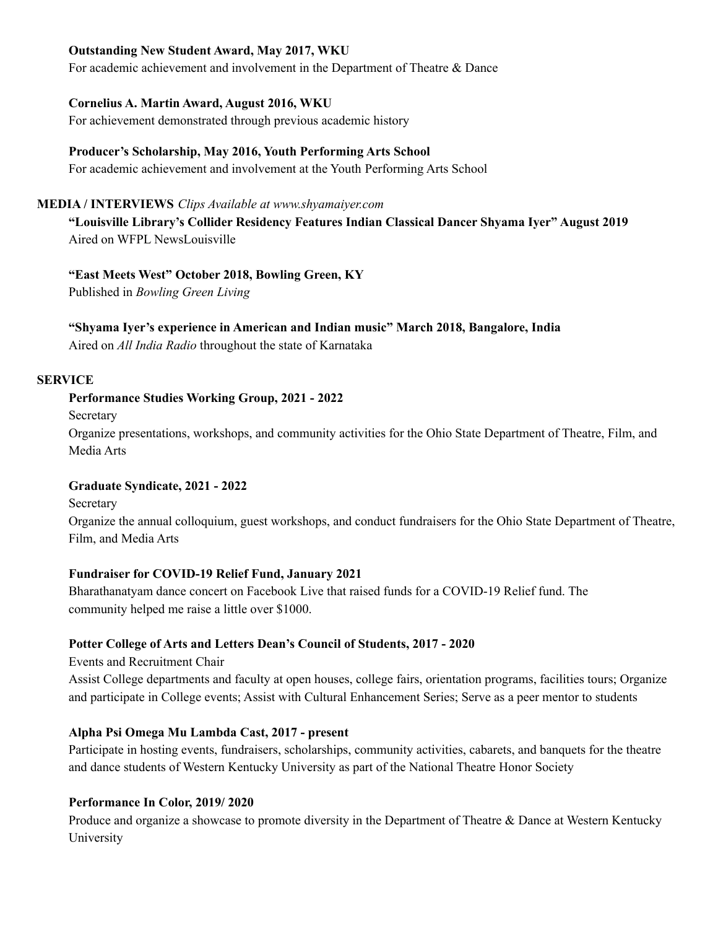#### **Outstanding New Student Award, May 2017, WKU**

For academic achievement and involvement in the Department of Theatre & Dance

### **Cornelius A. Martin Award, August 2016, WKU**

For achievement demonstrated through previous academic history

### **Producer's Scholarship, May 2016, Youth Performing Arts School**

For academic achievement and involvement at the Youth Performing Arts School

#### **MEDIA / INTERVIEWS** *Clips Available at www.shyamaiyer.com*

**"Louisville Library's Collider Residency Features Indian Classical Dancer Shyama Iyer" August 2019** Aired on WFPL NewsLouisville

### **"East Meets West" October 2018, Bowling Green, KY**

Published in *Bowling Green Living*

### **"Shyama Iyer's experience in American and Indian music" March 2018, Bangalore, India**

Aired on *All India Radio* throughout the state of Karnataka

### **SERVICE**

### **Performance Studies Working Group, 2021 - 2022**

**Secretary** 

Organize presentations, workshops, and community activities for the Ohio State Department of Theatre, Film, and Media Arts

## **Graduate Syndicate, 2021 - 2022**

**Secretary** 

Organize the annual colloquium, guest workshops, and conduct fundraisers for the Ohio State Department of Theatre, Film, and Media Arts

## **Fundraiser for COVID-19 Relief Fund, January 2021**

Bharathanatyam dance concert on Facebook Live that raised funds for a COVID-19 Relief fund. The community helped me raise a little over \$1000.

## **Potter College of Arts and Letters Dean's Council of Students, 2017 - 2020**

Events and Recruitment Chair

Assist College departments and faculty at open houses, college fairs, orientation programs, facilities tours; Organize and participate in College events; Assist with Cultural Enhancement Series; Serve as a peer mentor to students

## **Alpha Psi Omega Mu Lambda Cast, 2017 - present**

Participate in hosting events, fundraisers, scholarships, community activities, cabarets, and banquets for the theatre and dance students of Western Kentucky University as part of the National Theatre Honor Society

#### **Performance In Color, 2019/ 2020**

Produce and organize a showcase to promote diversity in the Department of Theatre & Dance at Western Kentucky University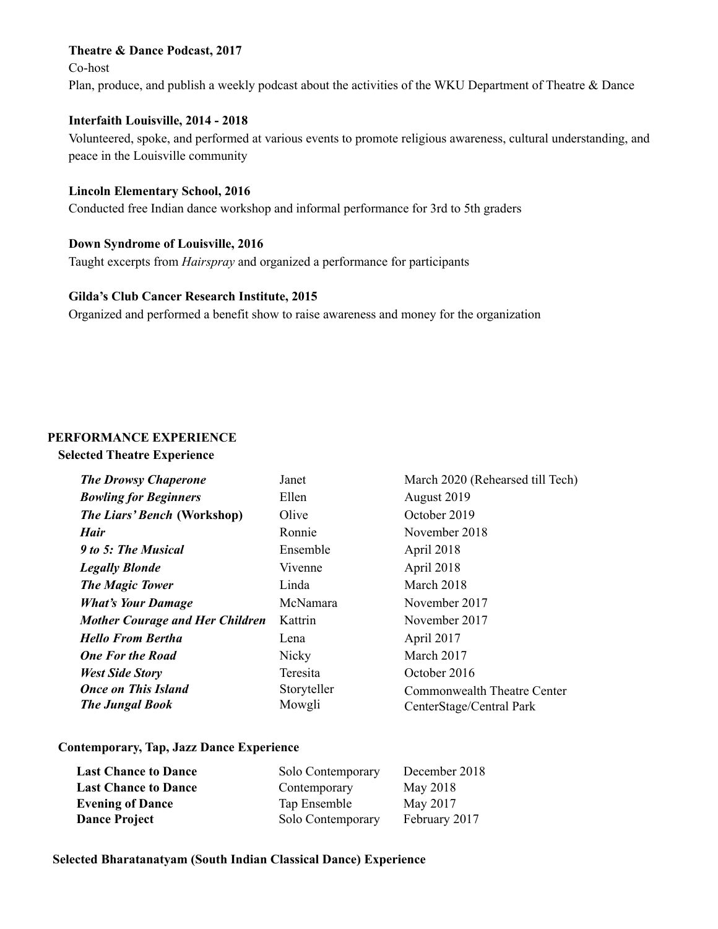#### **Theatre & Dance Podcast, 2017**

Co-host

Plan, produce, and publish a weekly podcast about the activities of the WKU Department of Theatre & Dance

#### **Interfaith Louisville, 2014 - 2018**

Volunteered, spoke, and performed at various events to promote religious awareness, cultural understanding, and peace in the Louisville community

#### **Lincoln Elementary School, 2016**

Conducted free Indian dance workshop and informal performance for 3rd to 5th graders

### **Down Syndrome of Louisville, 2016**

Taught excerpts from *Hairspray* and organized a performance for participants

#### **Gilda's Club Cancer Research Institute, 2015**

Organized and performed a benefit show to raise awareness and money for the organization

### **PERFORMANCE EXPERIENCE**

### **Selected Theatre Experience**

| <b>The Drowsy Chaperone</b>            | Janet        | March 2020 (Rehearsed till Tech)   |
|----------------------------------------|--------------|------------------------------------|
| <b>Bowling for Beginners</b>           | Ellen        | August 2019                        |
| <b>The Liars' Bench (Workshop)</b>     | Olive        | October 2019                       |
| <b>Hair</b>                            | Ronnie       | November 2018                      |
| 9 to 5: The Musical                    | Ensemble     | April 2018                         |
| <b>Legally Blonde</b>                  | Vivenne      | April 2018                         |
| <b>The Magic Tower</b>                 | Linda        | March 2018                         |
| <b>What's Your Damage</b>              | McNamara     | November 2017                      |
| <b>Mother Courage and Her Children</b> | Kattrin      | November 2017                      |
| <b>Hello From Bertha</b>               | Lena         | April 2017                         |
| <b>One For the Road</b>                | <b>Nicky</b> | March 2017                         |
| <b>West Side Story</b>                 | Teresita     | October 2016                       |
| <b>Once on This Island</b>             | Storyteller  | <b>Commonwealth Theatre Center</b> |
| <b>The Jungal Book</b>                 | Mowgli       | CenterStage/Central Park           |

#### **Contemporary, Tap, Jazz Dance Experience**

| <b>Last Chance to Dance</b> | Solo Contemporary | December 2018 |
|-----------------------------|-------------------|---------------|
| <b>Last Chance to Dance</b> | Contemporary      | May 2018      |
| <b>Evening of Dance</b>     | Tap Ensemble      | May 2017      |
| <b>Dance Project</b>        | Solo Contemporary | February 2017 |

#### **Selected Bharatanatyam (South Indian Classical Dance) Experience**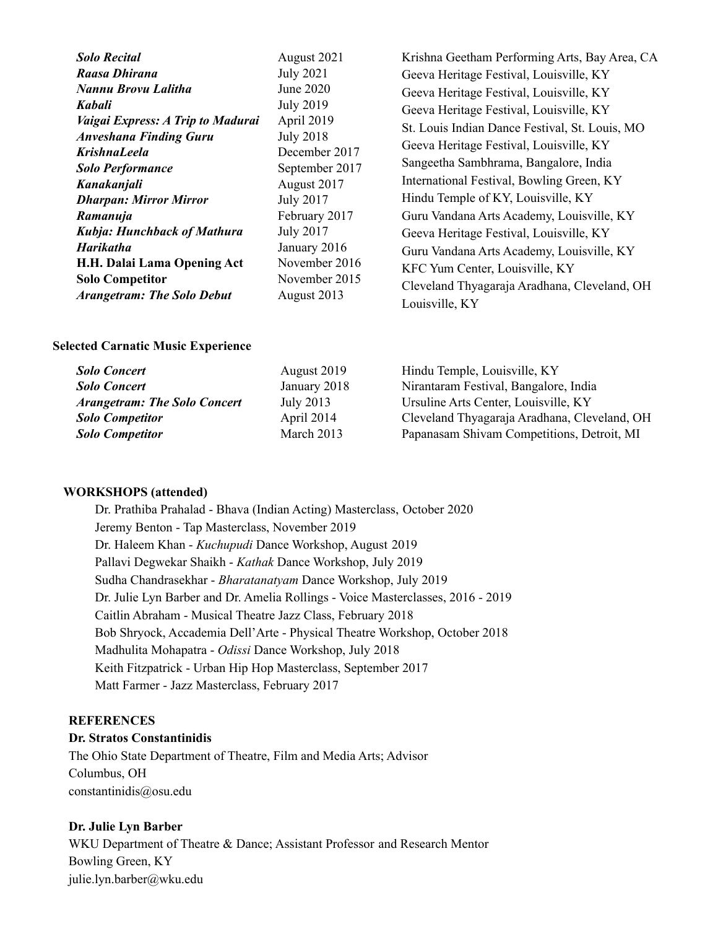| <b>Solo Recital</b>                | August 2021                                                       | Krishna Geetham Performing Arts, Bay Area, CA  |
|------------------------------------|-------------------------------------------------------------------|------------------------------------------------|
| Raasa Dhirana                      | <b>July 2021</b>                                                  | Geeva Heritage Festival, Louisville, KY        |
| Nannu Brovu Lalitha                | June 2020                                                         | Geeva Heritage Festival, Louisville, KY        |
| <b>Kabali</b>                      | <b>July 2019</b>                                                  | Geeva Heritage Festival, Louisville, KY        |
| Vaigai Express: A Trip to Madurai  | April 2019<br><b>July 2018</b><br>December 2017<br>September 2017 | St. Louis Indian Dance Festival, St. Louis, MO |
| <b>Anveshana Finding Guru</b>      |                                                                   | Geeva Heritage Festival, Louisville, KY        |
| <b>KrishnaLeela</b>                |                                                                   |                                                |
| <b>Solo Performance</b>            |                                                                   | Sangeetha Sambhrama, Bangalore, India          |
| Kanakanjali                        | August 2017                                                       | International Festival, Bowling Green, KY      |
| <b>Dharpan: Mirror Mirror</b>      | <b>July 2017</b>                                                  | Hindu Temple of KY, Louisville, KY             |
| Ramanuja                           | February 2017                                                     | Guru Vandana Arts Academy, Louisville, KY      |
| <b>Kubja: Hunchback of Mathura</b> | <b>July 2017</b>                                                  | Geeva Heritage Festival, Louisville, KY        |
| <b>Harikatha</b>                   | January 2016                                                      | Guru Vandana Arts Academy, Louisville, KY      |
| H.H. Dalai Lama Opening Act        | November 2016<br>November 2015<br>August 2013                     | KFC Yum Center, Louisville, KY                 |
| <b>Solo Competitor</b>             |                                                                   | Cleveland Thyagaraja Aradhana, Cleveland, OH   |
| <b>Arangetram: The Solo Debut</b>  |                                                                   | Louisville, KY                                 |

#### **Selected Carnatic Music Experience**

| <b>Solo Concert</b>                 | August 2019  | Hindu Temple, Louisville, KY                 |
|-------------------------------------|--------------|----------------------------------------------|
| <b>Solo Concert</b>                 | January 2018 | Nirantaram Festival, Bangalore, India        |
| <b>Arangetram: The Solo Concert</b> | July 2013    | Ursuline Arts Center, Louisville, KY         |
| <b>Solo Competitor</b>              | April 2014   | Cleveland Thyagaraja Aradhana, Cleveland, OH |
| <b>Solo Competitor</b>              | March 2013   | Papanasam Shivam Competitions, Detroit, MI   |

#### **WORKSHOPS (attended)**

Dr. Prathiba Prahalad - Bhava (Indian Acting) Masterclass, October 2020 Jeremy Benton - Tap Masterclass, November 2019 Dr. Haleem Khan - *Kuchupudi* Dance Workshop, August 2019 Pallavi Degwekar Shaikh - *Kathak* Dance Workshop, July 2019 Sudha Chandrasekhar - *Bharatanatyam* Dance Workshop, July 2019 Dr. Julie Lyn Barber and Dr. Amelia Rollings - Voice Masterclasses, 2016 - 2019 Caitlin Abraham - Musical Theatre Jazz Class, February 2018 Bob Shryock, Accademia Dell'Arte - Physical Theatre Workshop, October 2018 Madhulita Mohapatra - *Odissi* Dance Workshop, July 2018 Keith Fitzpatrick - Urban Hip Hop Masterclass, September 2017 Matt Farmer - Jazz Masterclass, February 2017

#### **REFERENCES**

#### **Dr. Stratos Constantinidis**

The Ohio State Department of Theatre, Film and Media Arts; Advisor Columbus, OH constantinidis@osu.edu

#### **Dr. Julie Lyn Barber**

WKU Department of Theatre & Dance; Assistant Professor and Research Mentor Bowling Green, KY julie.lyn.barber@wku.edu